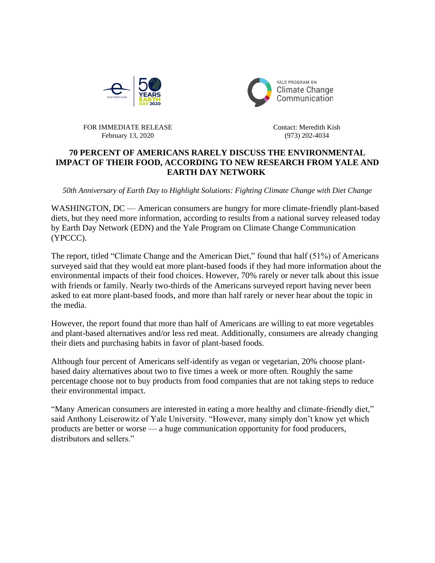



FOR IMMEDIATE RELEASE February 13, 2020

Contact: Meredith Kish (973) 202-4034

## **70 PERCENT OF AMERICANS RARELY DISCUSS THE ENVIRONMENTAL IMPACT OF THEIR FOOD, ACCORDING TO NEW RESEARCH FROM YALE AND EARTH DAY NETWORK**

*50th Anniversary of Earth Day to Highlight Solutions: Fighting Climate Change with Diet Change*

WASHINGTON, DC — American consumers are hungry for more climate-friendly plant-based diets, but they need more information, according to results from a national survey released today by Earth Day Network (EDN) and the Yale Program on Climate Change Communication (YPCCC).

The report, titled "Climate Change and the American Diet," found that half (51%) of Americans surveyed said that they would eat more plant-based foods if they had more information about the environmental impacts of their food choices. However, 70% rarely or never talk about this issue with friends or family. Nearly two-thirds of the Americans surveyed report having never been asked to eat more plant-based foods, and more than half rarely or never hear about the topic in the media.

However, the report found that more than half of Americans are willing to eat more vegetables and plant-based alternatives and/or less red meat. Additionally, consumers are already changing their diets and purchasing habits in favor of plant-based foods.

Although four percent of Americans self-identify as vegan or vegetarian, 20% choose plantbased dairy alternatives about two to five times a week or more often. Roughly the same percentage choose not to buy products from food companies that are not taking steps to reduce their environmental impact.

"Many American consumers are interested in eating a more healthy and climate-friendly diet," said Anthony Leiserowitz of Yale University. "However, many simply don't know yet which products are better or worse — a huge communication opportunity for food producers, distributors and sellers."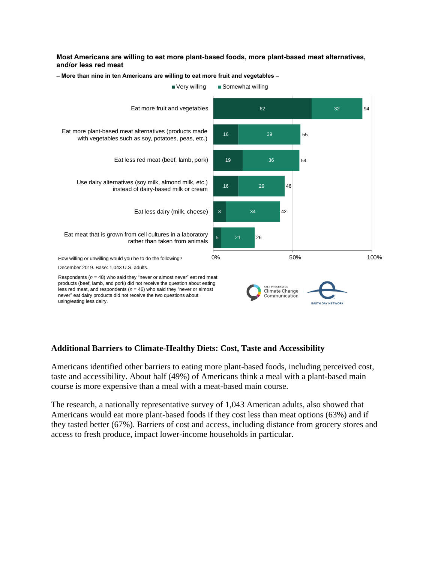## **Most Americans are willing to eat more plant-based foods, more plant-based meat alternatives, and/or less red meat**



**– More than nine in ten Americans are willing to eat more fruit and vegetables –**

## **Additional Barriers to Climate-Healthy Diets: Cost, Taste and Accessibility**

Americans identified other barriers to eating more plant-based foods, including perceived cost, taste and accessibility. About half (49%) of Americans think a meal with a plant-based main course is more expensive than a meal with a meat-based main course.

The research, a nationally representative survey of 1,043 American adults, also showed that Americans would eat more plant-based foods if they cost less than meat options (63%) and if they tasted better (67%). Barriers of cost and access, including distance from grocery stores and access to fresh produce, impact lower-income households in particular.